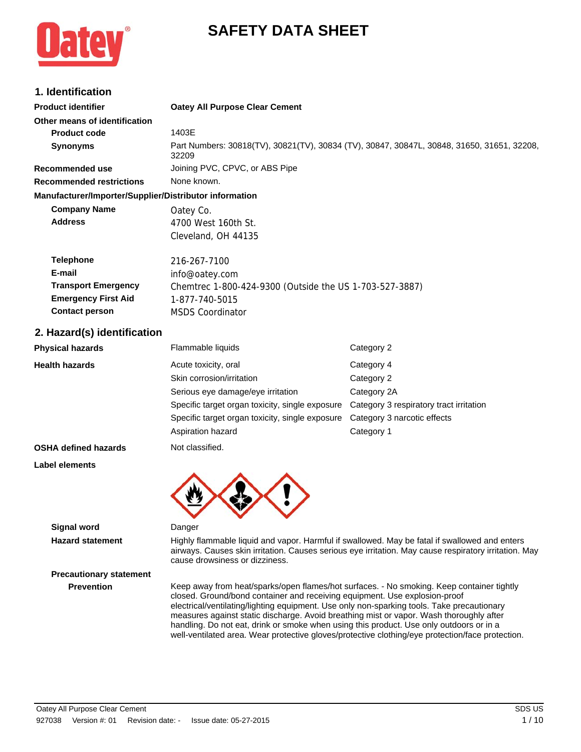# **SAFETY DATA SHEET**

## **1. Identification**

| 1. Identification                                                                                               |                                                                                                                                        |                                                                                                                                                                                                        |
|-----------------------------------------------------------------------------------------------------------------|----------------------------------------------------------------------------------------------------------------------------------------|--------------------------------------------------------------------------------------------------------------------------------------------------------------------------------------------------------|
| <b>Product identifier</b>                                                                                       | <b>Oatey All Purpose Clear Cement</b>                                                                                                  |                                                                                                                                                                                                        |
| Other means of identification                                                                                   |                                                                                                                                        |                                                                                                                                                                                                        |
| <b>Product code</b>                                                                                             | 1403E                                                                                                                                  |                                                                                                                                                                                                        |
| Synonyms                                                                                                        | 32209                                                                                                                                  | Part Numbers: 30818(TV), 30821(TV), 30834 (TV), 30847, 30847L, 30848, 31650, 31651, 32208,                                                                                                             |
| <b>Recommended use</b>                                                                                          | Joining PVC, CPVC, or ABS Pipe                                                                                                         |                                                                                                                                                                                                        |
| <b>Recommended restrictions</b>                                                                                 | None known.                                                                                                                            |                                                                                                                                                                                                        |
| Manufacturer/Importer/Supplier/Distributor information                                                          |                                                                                                                                        |                                                                                                                                                                                                        |
| <b>Company Name</b>                                                                                             | Oatey Co.                                                                                                                              |                                                                                                                                                                                                        |
| <b>Address</b>                                                                                                  | 4700 West 160th St.                                                                                                                    |                                                                                                                                                                                                        |
|                                                                                                                 | Cleveland, OH 44135                                                                                                                    |                                                                                                                                                                                                        |
| <b>Telephone</b><br>E-mail<br><b>Transport Emergency</b><br><b>Emergency First Aid</b><br><b>Contact person</b> | 216-267-7100<br>info@oatey.com<br>Chemtrec 1-800-424-9300 (Outside the US 1-703-527-3887)<br>1-877-740-5015<br><b>MSDS Coordinator</b> |                                                                                                                                                                                                        |
|                                                                                                                 |                                                                                                                                        |                                                                                                                                                                                                        |
| 2. Hazard(s) identification                                                                                     |                                                                                                                                        |                                                                                                                                                                                                        |
| <b>Physical hazards</b>                                                                                         | Flammable liquids                                                                                                                      | Category 2                                                                                                                                                                                             |
| <b>Health hazards</b>                                                                                           | Acute toxicity, oral                                                                                                                   | Category 4                                                                                                                                                                                             |
|                                                                                                                 | Skin corrosion/irritation                                                                                                              | Category 2                                                                                                                                                                                             |
|                                                                                                                 | Serious eye damage/eye irritation                                                                                                      | Category 2A                                                                                                                                                                                            |
|                                                                                                                 | Specific target organ toxicity, single exposure                                                                                        | Category 3 respiratory tract irritation                                                                                                                                                                |
|                                                                                                                 | Specific target organ toxicity, single exposure                                                                                        | Category 3 narcotic effects                                                                                                                                                                            |
|                                                                                                                 | Aspiration hazard                                                                                                                      | Category 1                                                                                                                                                                                             |
| <b>OSHA defined hazards</b>                                                                                     | Not classified.                                                                                                                        |                                                                                                                                                                                                        |
| Label elements                                                                                                  |                                                                                                                                        |                                                                                                                                                                                                        |
|                                                                                                                 |                                                                                                                                        |                                                                                                                                                                                                        |
| <b>Signal word</b>                                                                                              | Danger                                                                                                                                 |                                                                                                                                                                                                        |
| <b>Hazard statement</b>                                                                                         | cause drowsiness or dizziness.                                                                                                         | Highly flammable liquid and vapor. Harmful if swallowed. May be fatal if swallowed and enters<br>airways. Causes skin irritation. Causes serious eye irritation. May cause respiratory irritation. May |
| <b>Precautionary statement</b>                                                                                  |                                                                                                                                        |                                                                                                                                                                                                        |
|                                                                                                                 |                                                                                                                                        |                                                                                                                                                                                                        |

**Prevention** Keep away from heat/sparks/open flames/hot surfaces. - No smoking. Keep container tightly closed. Ground/bond container and receiving equipment. Use explosion-proof electrical/ventilating/lighting equipment. Use only non-sparking tools. Take precautionary measures against static discharge. Avoid breathing mist or vapor. Wash thoroughly after handling. Do not eat, drink or smoke when using this product. Use only outdoors or in a well-ventilated area. Wear protective gloves/protective clothing/eye protection/face protection.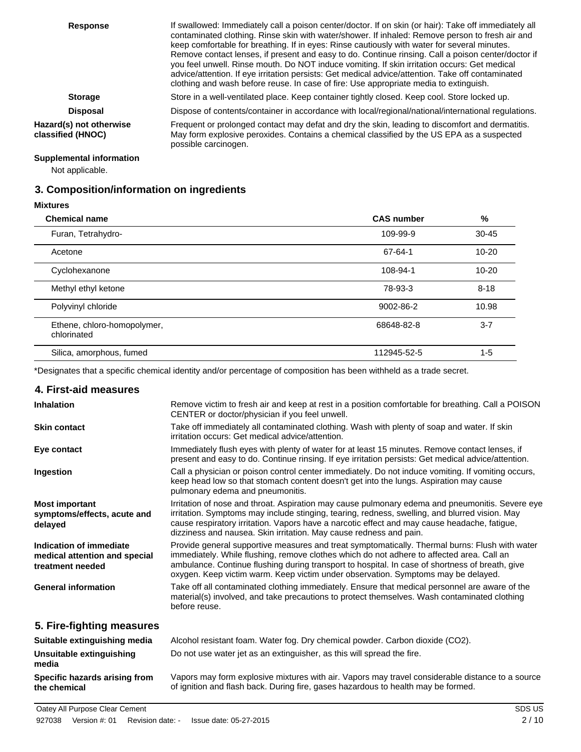| <b>Response</b>                              | If swallowed: Immediately call a poison center/doctor. If on skin (or hair): Take off immediately all<br>contaminated clothing. Rinse skin with water/shower. If inhaled: Remove person to fresh air and<br>keep comfortable for breathing. If in eyes: Rinse cautiously with water for several minutes.<br>Remove contact lenses, if present and easy to do. Continue rinsing. Call a poison center/doctor if<br>you feel unwell. Rinse mouth. Do NOT induce vomiting. If skin irritation occurs: Get medical<br>advice/attention. If eye irritation persists: Get medical advice/attention. Take off contaminated<br>clothing and wash before reuse. In case of fire: Use appropriate media to extinguish. |
|----------------------------------------------|--------------------------------------------------------------------------------------------------------------------------------------------------------------------------------------------------------------------------------------------------------------------------------------------------------------------------------------------------------------------------------------------------------------------------------------------------------------------------------------------------------------------------------------------------------------------------------------------------------------------------------------------------------------------------------------------------------------|
| <b>Storage</b>                               | Store in a well-ventilated place. Keep container tightly closed. Keep cool. Store locked up.                                                                                                                                                                                                                                                                                                                                                                                                                                                                                                                                                                                                                 |
| <b>Disposal</b>                              | Dispose of contents/container in accordance with local/regional/national/international regulations.                                                                                                                                                                                                                                                                                                                                                                                                                                                                                                                                                                                                          |
| Hazard(s) not otherwise<br>classified (HNOC) | Frequent or prolonged contact may defat and dry the skin, leading to discomfort and dermatitis.<br>May form explosive peroxides. Contains a chemical classified by the US EPA as a suspected<br>possible carcinogen.                                                                                                                                                                                                                                                                                                                                                                                                                                                                                         |

## **Supplemental information**

Not applicable.

## **3. Composition/information on ingredients**

**Mixtures**

 $\overline{\phantom{0}}$ 

 $\overline{\phantom{a}}$ 

| <b>Chemical name</b>                       | <b>CAS number</b> | %         |
|--------------------------------------------|-------------------|-----------|
| Furan, Tetrahydro-                         | 109-99-9          | $30 - 45$ |
| Acetone                                    | 67-64-1           | $10 - 20$ |
| Cyclohexanone                              | 108-94-1          | $10 - 20$ |
| Methyl ethyl ketone                        | 78-93-3           | $8 - 18$  |
| Polyvinyl chloride                         | 9002-86-2         | 10.98     |
| Ethene, chloro-homopolymer,<br>chlorinated | 68648-82-8        | $3 - 7$   |
| Silica, amorphous, fumed                   | 112945-52-5       | $1 - 5$   |

\*Designates that a specific chemical identity and/or percentage of composition has been withheld as a trade secret.

### **4. First-aid measures**

**the chemical**

| <b>Inhalation</b>                                                            | Remove victim to fresh air and keep at rest in a position comfortable for breathing. Call a POISON<br>CENTER or doctor/physician if you feel unwell.                                                                                                                                                                                                                                |
|------------------------------------------------------------------------------|-------------------------------------------------------------------------------------------------------------------------------------------------------------------------------------------------------------------------------------------------------------------------------------------------------------------------------------------------------------------------------------|
| <b>Skin contact</b>                                                          | Take off immediately all contaminated clothing. Wash with plenty of soap and water. If skin<br>irritation occurs: Get medical advice/attention.                                                                                                                                                                                                                                     |
| Eye contact                                                                  | Immediately flush eyes with plenty of water for at least 15 minutes. Remove contact lenses, if<br>present and easy to do. Continue rinsing. If eye irritation persists: Get medical advice/attention.                                                                                                                                                                               |
| Ingestion                                                                    | Call a physician or poison control center immediately. Do not induce vomiting. If vomiting occurs,<br>keep head low so that stomach content doesn't get into the lungs. Aspiration may cause<br>pulmonary edema and pneumonitis.                                                                                                                                                    |
| <b>Most important</b><br>symptoms/effects, acute and<br>delayed              | Irritation of nose and throat. Aspiration may cause pulmonary edema and pneumonitis. Severe eye<br>irritation. Symptoms may include stinging, tearing, redness, swelling, and blurred vision. May<br>cause respiratory irritation. Vapors have a narcotic effect and may cause headache, fatigue,<br>dizziness and nausea. Skin irritation. May cause redness and pain.             |
| Indication of immediate<br>medical attention and special<br>treatment needed | Provide general supportive measures and treat symptomatically. Thermal burns: Flush with water<br>immediately. While flushing, remove clothes which do not adhere to affected area. Call an<br>ambulance. Continue flushing during transport to hospital. In case of shortness of breath, give<br>oxygen. Keep victim warm. Keep victim under observation. Symptoms may be delayed. |
| <b>General information</b>                                                   | Take off all contaminated clothing immediately. Ensure that medical personnel are aware of the<br>material(s) involved, and take precautions to protect themselves. Wash contaminated clothing<br>before reuse.                                                                                                                                                                     |
| 5. Fire-fighting measures                                                    |                                                                                                                                                                                                                                                                                                                                                                                     |
| Suitable extinguishing media                                                 | Alcohol resistant foam. Water fog. Dry chemical powder. Carbon dioxide (CO2).                                                                                                                                                                                                                                                                                                       |
| Unsuitable extinguishing<br>media                                            | Do not use water jet as an extinguisher, as this will spread the fire.                                                                                                                                                                                                                                                                                                              |

Vapors may form explosive mixtures with air. Vapors may travel considerable distance to a source of ignition and flash back. During fire, gases hazardous to health may be formed. **Specific hazards arising from**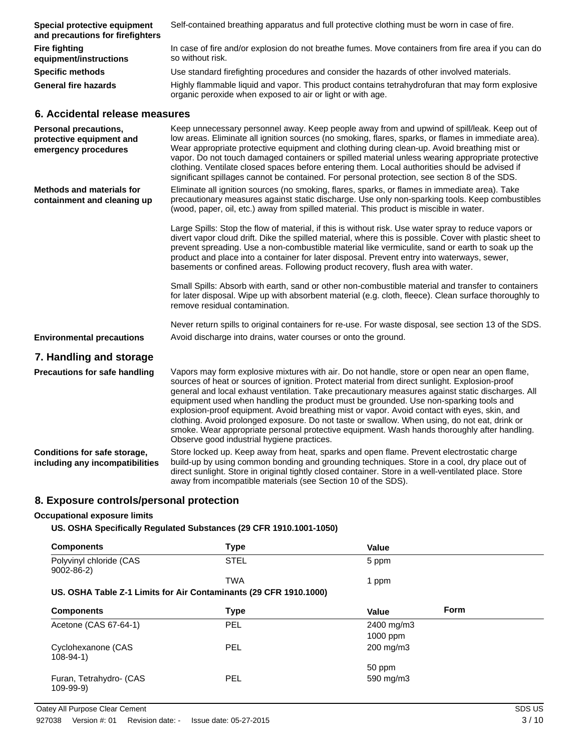| Special protective equipment<br>and precautions for firefighters                 | Self-contained breathing apparatus and full protective clothing must be worn in case of fire.                                                                                                                                                                                                                                                                                                                                                                                                                                                                                                                                                                                                                                                |
|----------------------------------------------------------------------------------|----------------------------------------------------------------------------------------------------------------------------------------------------------------------------------------------------------------------------------------------------------------------------------------------------------------------------------------------------------------------------------------------------------------------------------------------------------------------------------------------------------------------------------------------------------------------------------------------------------------------------------------------------------------------------------------------------------------------------------------------|
| <b>Fire fighting</b><br>equipment/instructions                                   | In case of fire and/or explosion do not breathe fumes. Move containers from fire area if you can do<br>so without risk.                                                                                                                                                                                                                                                                                                                                                                                                                                                                                                                                                                                                                      |
| <b>Specific methods</b>                                                          | Use standard firefighting procedures and consider the hazards of other involved materials.                                                                                                                                                                                                                                                                                                                                                                                                                                                                                                                                                                                                                                                   |
| <b>General fire hazards</b>                                                      | Highly flammable liquid and vapor. This product contains tetrahydrofuran that may form explosive<br>organic peroxide when exposed to air or light or with age.                                                                                                                                                                                                                                                                                                                                                                                                                                                                                                                                                                               |
| 6. Accidental release measures                                                   |                                                                                                                                                                                                                                                                                                                                                                                                                                                                                                                                                                                                                                                                                                                                              |
| <b>Personal precautions,</b><br>protective equipment and<br>emergency procedures | Keep unnecessary personnel away. Keep people away from and upwind of spill/leak. Keep out of<br>low areas. Eliminate all ignition sources (no smoking, flares, sparks, or flames in immediate area).<br>Wear appropriate protective equipment and clothing during clean-up. Avoid breathing mist or<br>vapor. Do not touch damaged containers or spilled material unless wearing appropriate protective<br>clothing. Ventilate closed spaces before entering them. Local authorities should be advised if<br>significant spillages cannot be contained. For personal protection, see section 8 of the SDS.                                                                                                                                   |
| <b>Methods and materials for</b><br>containment and cleaning up                  | Eliminate all ignition sources (no smoking, flares, sparks, or flames in immediate area). Take<br>precautionary measures against static discharge. Use only non-sparking tools. Keep combustibles<br>(wood, paper, oil, etc.) away from spilled material. This product is miscible in water.                                                                                                                                                                                                                                                                                                                                                                                                                                                 |
|                                                                                  | Large Spills: Stop the flow of material, if this is without risk. Use water spray to reduce vapors or<br>divert vapor cloud drift. Dike the spilled material, where this is possible. Cover with plastic sheet to<br>prevent spreading. Use a non-combustible material like vermiculite, sand or earth to soak up the<br>product and place into a container for later disposal. Prevent entry into waterways, sewer,<br>basements or confined areas. Following product recovery, flush area with water.                                                                                                                                                                                                                                      |
|                                                                                  | Small Spills: Absorb with earth, sand or other non-combustible material and transfer to containers<br>for later disposal. Wipe up with absorbent material (e.g. cloth, fleece). Clean surface thoroughly to<br>remove residual contamination.                                                                                                                                                                                                                                                                                                                                                                                                                                                                                                |
|                                                                                  | Never return spills to original containers for re-use. For waste disposal, see section 13 of the SDS.                                                                                                                                                                                                                                                                                                                                                                                                                                                                                                                                                                                                                                        |
| <b>Environmental precautions</b>                                                 | Avoid discharge into drains, water courses or onto the ground.                                                                                                                                                                                                                                                                                                                                                                                                                                                                                                                                                                                                                                                                               |
| 7. Handling and storage                                                          |                                                                                                                                                                                                                                                                                                                                                                                                                                                                                                                                                                                                                                                                                                                                              |
| <b>Precautions for safe handling</b>                                             | Vapors may form explosive mixtures with air. Do not handle, store or open near an open flame,<br>sources of heat or sources of ignition. Protect material from direct sunlight. Explosion-proof<br>general and local exhaust ventilation. Take precautionary measures against static discharges. All<br>equipment used when handling the product must be grounded. Use non-sparking tools and<br>explosion-proof equipment. Avoid breathing mist or vapor. Avoid contact with eyes, skin, and<br>clothing. Avoid prolonged exposure. Do not taste or swallow. When using, do not eat, drink or<br>smoke. Wear appropriate personal protective equipment. Wash hands thoroughly after handling.<br>Observe good industrial hygiene practices. |
| Conditions for safe storage,<br>including any incompatibilities                  | Store locked up. Keep away from heat, sparks and open flame. Prevent electrostatic charge<br>build-up by using common bonding and grounding techniques. Store in a cool, dry place out of<br>direct sunlight. Store in original tightly closed container. Store in a well-ventilated place. Store<br>away from incompatible materials (see Section 10 of the SDS).                                                                                                                                                                                                                                                                                                                                                                           |

## **8. Exposure controls/personal protection**

## **Occupational exposure limits**

**US. OSHA Specifically Regulated Substances (29 CFR 1910.1001-1050)**

| <b>Components</b>                                                 | <b>Type</b> | <b>Value</b>                |
|-------------------------------------------------------------------|-------------|-----------------------------|
| Polyvinyl chloride (CAS<br>$9002 - 86 - 2$                        | <b>STEL</b> | 5 ppm                       |
|                                                                   | <b>TWA</b>  | 1 ppm                       |
| US. OSHA Table Z-1 Limits for Air Contaminants (29 CFR 1910.1000) |             |                             |
| <b>Components</b>                                                 | <b>Type</b> | <b>Form</b><br><b>Value</b> |
| Acetone (CAS 67-64-1)                                             | <b>PEL</b>  | 2400 mg/m3                  |
|                                                                   |             | $1000$ ppm                  |
| Cyclohexanone (CAS<br>$108 - 94 - 1$                              | <b>PEL</b>  | 200 mg/m3                   |
|                                                                   |             | 50 ppm                      |
| Furan, Tetrahydro- (CAS<br>$109 - 99 - 9)$                        | <b>PEL</b>  | 590 mg/m3                   |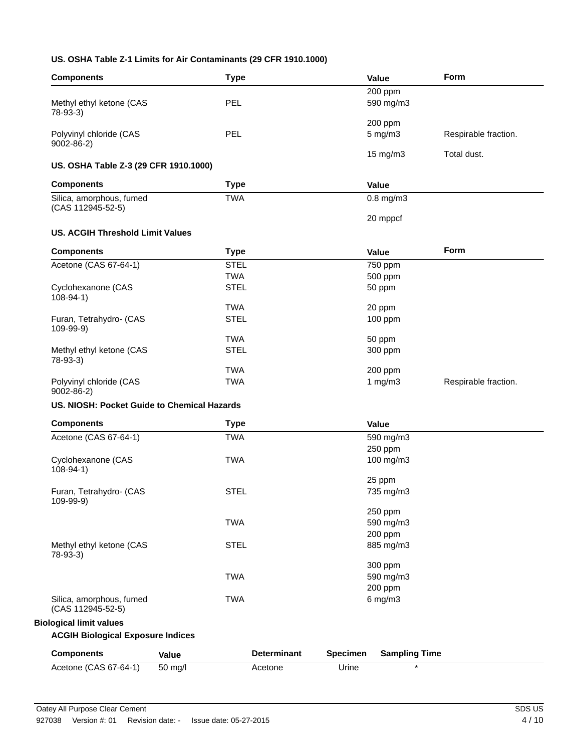## **US. OSHA Table Z-1 Limits for Air Contaminants (29 CFR 1910.1000)**

| <b>Components</b>                             | <b>Type</b> |                    |                 | Value                   | Form                 |
|-----------------------------------------------|-------------|--------------------|-----------------|-------------------------|----------------------|
|                                               |             |                    |                 | 200 ppm                 |                      |
| Methyl ethyl ketone (CAS                      | PEL         |                    |                 | 590 mg/m3               |                      |
| 78-93-3)                                      |             |                    |                 |                         |                      |
| Polyvinyl chloride (CAS                       | PEL         |                    |                 | 200 ppm<br>$5$ mg/m $3$ | Respirable fraction. |
| $9002 - 86 - 2$                               |             |                    |                 |                         |                      |
|                                               |             |                    |                 | 15 mg/m3                | Total dust.          |
| US. OSHA Table Z-3 (29 CFR 1910.1000)         |             |                    |                 |                         |                      |
| <b>Components</b>                             | <b>Type</b> |                    |                 | Value                   |                      |
| Silica, amorphous, fumed                      | <b>TWA</b>  |                    |                 | $0.8$ mg/m $3$          |                      |
| (CAS 112945-52-5)                             |             |                    |                 |                         |                      |
|                                               |             |                    |                 | 20 mppcf                |                      |
| <b>US. ACGIH Threshold Limit Values</b>       |             |                    |                 |                         |                      |
| <b>Components</b>                             | <b>Type</b> |                    |                 | Value                   | Form                 |
| Acetone (CAS 67-64-1)                         | <b>STEL</b> |                    |                 | 750 ppm                 |                      |
|                                               | <b>TWA</b>  |                    |                 | 500 ppm                 |                      |
| Cyclohexanone (CAS<br>$108 - 94 - 1$          | <b>STEL</b> |                    |                 | 50 ppm                  |                      |
|                                               | <b>TWA</b>  |                    |                 | 20 ppm                  |                      |
| Furan, Tetrahydro- (CAS                       | <b>STEL</b> |                    |                 | 100 ppm                 |                      |
| 109-99-9)                                     |             |                    |                 |                         |                      |
|                                               | <b>TWA</b>  |                    |                 | 50 ppm                  |                      |
| Methyl ethyl ketone (CAS<br>$78-93-3)$        | <b>STEL</b> |                    |                 | 300 ppm                 |                      |
|                                               | <b>TWA</b>  |                    |                 | 200 ppm                 |                      |
| Polyvinyl chloride (CAS<br>$9002 - 86 - 2$    | <b>TWA</b>  |                    |                 | 1 $mg/m3$               | Respirable fraction. |
| US. NIOSH: Pocket Guide to Chemical Hazards   |             |                    |                 |                         |                      |
| <b>Components</b>                             | <b>Type</b> |                    |                 | Value                   |                      |
| Acetone (CAS 67-64-1)                         | <b>TWA</b>  |                    |                 | 590 mg/m3               |                      |
|                                               |             |                    |                 | 250 ppm                 |                      |
| Cyclohexanone (CAS<br>$108 - 94 - 1$          | <b>TWA</b>  |                    |                 | 100 mg/m3               |                      |
|                                               |             |                    |                 | 25 ppm                  |                      |
| Furan, Tetrahydro- (CAS                       | <b>STEL</b> |                    |                 | 735 mg/m3               |                      |
| 109-99-9)                                     |             |                    |                 | 250 ppm                 |                      |
|                                               | <b>TWA</b>  |                    |                 | 590 mg/m3               |                      |
|                                               |             |                    |                 | 200 ppm                 |                      |
| Methyl ethyl ketone (CAS                      | <b>STEL</b> |                    |                 | 885 mg/m3               |                      |
| 78-93-3)                                      |             |                    |                 | 300 ppm                 |                      |
|                                               | <b>TWA</b>  |                    |                 | 590 mg/m3               |                      |
|                                               |             |                    |                 | 200 ppm                 |                      |
| Silica, amorphous, fumed<br>(CAS 112945-52-5) | <b>TWA</b>  |                    |                 | $6$ mg/m $3$            |                      |
| <b>Biological limit values</b>                |             |                    |                 |                         |                      |
| <b>ACGIH Biological Exposure Indices</b>      |             |                    |                 |                         |                      |
|                                               |             | <b>Determinant</b> | <b>Specimen</b> | <b>Sampling Time</b>    |                      |
| <b>Components</b>                             | Value       |                    |                 |                         |                      |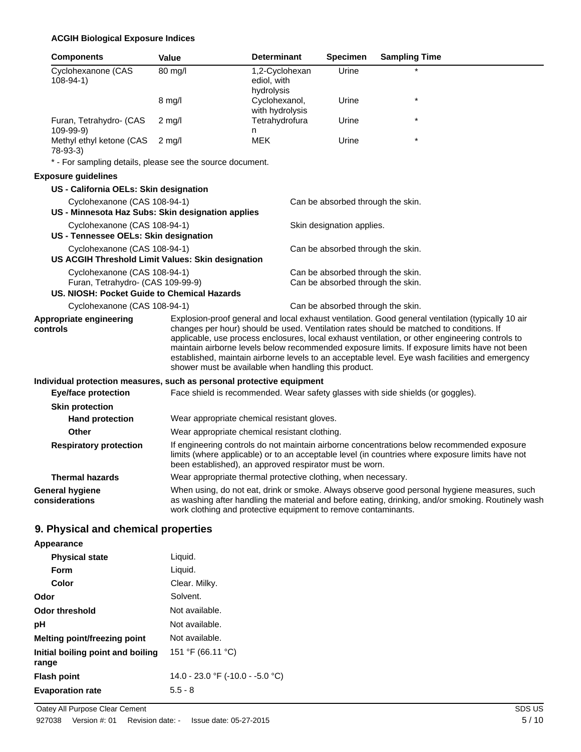## **ACGIH Biological Exposure Indices**

| <b>Components</b>                                                                                                | <b>Value</b>                                                   | <b>Determinant</b>                          | <b>Specimen</b>                                                        | <b>Sampling Time</b>                                                                                                                                                                                                                                                                                                                                                                          |
|------------------------------------------------------------------------------------------------------------------|----------------------------------------------------------------|---------------------------------------------|------------------------------------------------------------------------|-----------------------------------------------------------------------------------------------------------------------------------------------------------------------------------------------------------------------------------------------------------------------------------------------------------------------------------------------------------------------------------------------|
| Cyclohexanone (CAS<br>$108 - 94 - 1$                                                                             | 80 mg/l                                                        | 1,2-Cyclohexan<br>ediol, with<br>hydrolysis | Urine                                                                  |                                                                                                                                                                                                                                                                                                                                                                                               |
|                                                                                                                  | 8 mg/l                                                         | Cyclohexanol,<br>with hydrolysis            | Urine                                                                  |                                                                                                                                                                                                                                                                                                                                                                                               |
| Furan, Tetrahydro- (CAS<br>109-99-9)                                                                             | $2 \text{ mg/l}$                                               | Tetrahydrofura<br>n                         | Urine                                                                  |                                                                                                                                                                                                                                                                                                                                                                                               |
| Methyl ethyl ketone (CAS<br>$78-93-3$                                                                            | $2$ mg/l                                                       | <b>MEK</b>                                  | Urine                                                                  |                                                                                                                                                                                                                                                                                                                                                                                               |
| * - For sampling details, please see the source document.                                                        |                                                                |                                             |                                                                        |                                                                                                                                                                                                                                                                                                                                                                                               |
| <b>Exposure guidelines</b>                                                                                       |                                                                |                                             |                                                                        |                                                                                                                                                                                                                                                                                                                                                                                               |
| US - California OELs: Skin designation                                                                           |                                                                |                                             |                                                                        |                                                                                                                                                                                                                                                                                                                                                                                               |
| Cyclohexanone (CAS 108-94-1)                                                                                     |                                                                |                                             | Can be absorbed through the skin.                                      |                                                                                                                                                                                                                                                                                                                                                                                               |
| US - Minnesota Haz Subs: Skin designation applies                                                                |                                                                |                                             |                                                                        |                                                                                                                                                                                                                                                                                                                                                                                               |
| Cyclohexanone (CAS 108-94-1)<br>US - Tennessee OELs: Skin designation                                            |                                                                |                                             | Skin designation applies.                                              |                                                                                                                                                                                                                                                                                                                                                                                               |
| Cyclohexanone (CAS 108-94-1)<br>US ACGIH Threshold Limit Values: Skin designation                                |                                                                |                                             | Can be absorbed through the skin.                                      |                                                                                                                                                                                                                                                                                                                                                                                               |
| Cyclohexanone (CAS 108-94-1)<br>Furan, Tetrahydro- (CAS 109-99-9)<br>US. NIOSH: Pocket Guide to Chemical Hazards |                                                                |                                             | Can be absorbed through the skin.<br>Can be absorbed through the skin. |                                                                                                                                                                                                                                                                                                                                                                                               |
| Cyclohexanone (CAS 108-94-1)                                                                                     |                                                                |                                             | Can be absorbed through the skin.                                      |                                                                                                                                                                                                                                                                                                                                                                                               |
| Appropriate engineering                                                                                          |                                                                |                                             |                                                                        | Explosion-proof general and local exhaust ventilation. Good general ventilation (typically 10 air                                                                                                                                                                                                                                                                                             |
| controls                                                                                                         | shower must be available when handling this product.           |                                             |                                                                        | changes per hour) should be used. Ventilation rates should be matched to conditions. If<br>applicable, use process enclosures, local exhaust ventilation, or other engineering controls to<br>maintain airborne levels below recommended exposure limits. If exposure limits have not been<br>established, maintain airborne levels to an acceptable level. Eye wash facilities and emergency |
| Individual protection measures, such as personal protective equipment                                            |                                                                |                                             |                                                                        |                                                                                                                                                                                                                                                                                                                                                                                               |
| <b>Eye/face protection</b>                                                                                       |                                                                |                                             |                                                                        | Face shield is recommended. Wear safety glasses with side shields (or goggles).                                                                                                                                                                                                                                                                                                               |
| <b>Skin protection</b>                                                                                           |                                                                |                                             |                                                                        |                                                                                                                                                                                                                                                                                                                                                                                               |
| <b>Hand protection</b>                                                                                           | Wear appropriate chemical resistant gloves.                    |                                             |                                                                        |                                                                                                                                                                                                                                                                                                                                                                                               |
| Other                                                                                                            | Wear appropriate chemical resistant clothing.                  |                                             |                                                                        |                                                                                                                                                                                                                                                                                                                                                                                               |
| <b>Respiratory protection</b>                                                                                    | been established), an approved respirator must be worn.        |                                             |                                                                        | If engineering controls do not maintain airborne concentrations below recommended exposure<br>limits (where applicable) or to an acceptable level (in countries where exposure limits have not                                                                                                                                                                                                |
| <b>Thermal hazards</b>                                                                                           | Wear appropriate thermal protective clothing, when necessary.  |                                             |                                                                        |                                                                                                                                                                                                                                                                                                                                                                                               |
| <b>General hygiene</b><br>considerations                                                                         | work clothing and protective equipment to remove contaminants. |                                             |                                                                        | When using, do not eat, drink or smoke. Always observe good personal hygiene measures, such<br>as washing after handling the material and before eating, drinking, and/or smoking. Routinely wash                                                                                                                                                                                             |

## **9. Physical and chemical properties**

## **Appearance**

| <b>Physical state</b>                      | Liquid.                          |
|--------------------------------------------|----------------------------------|
| <b>Form</b>                                | Liquid.                          |
| Color                                      | Clear. Milky.                    |
| Odor                                       | Solvent.                         |
| <b>Odor threshold</b>                      | Not available.                   |
| рH                                         | Not available.                   |
| Melting point/freezing point               | Not available.                   |
| Initial boiling point and boiling<br>range | 151 °F (66.11 °C)                |
| <b>Flash point</b>                         | 14.0 - 23.0 °F (-10.0 - -5.0 °C) |
| <b>Evaporation rate</b>                    | $5.5 - 8$                        |
|                                            |                                  |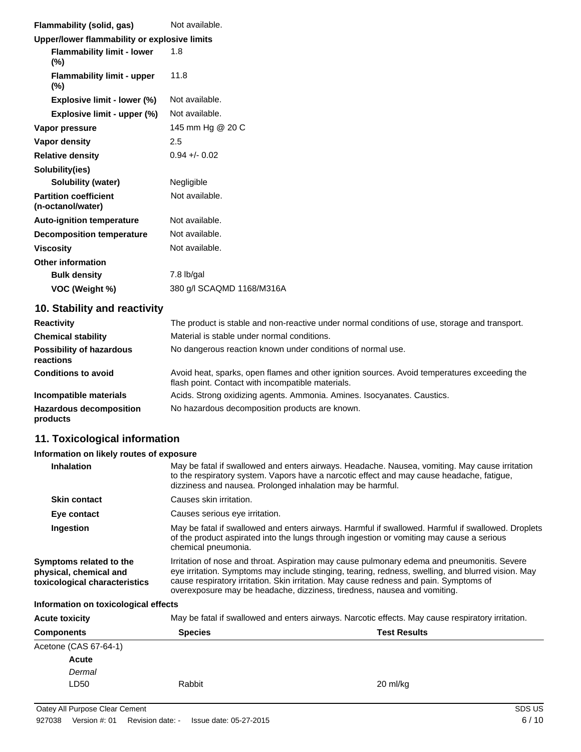| Flammability (solid, gas)                         | Not available.            |
|---------------------------------------------------|---------------------------|
| Upper/lower flammability or explosive limits      |                           |
| <b>Flammability limit - lower</b><br>$(\%)$       | 1.8                       |
| <b>Flammability limit - upper</b><br>$(\%)$       | 11.8                      |
| Explosive limit - lower (%)                       | Not available.            |
| Explosive limit - upper (%)                       | Not available.            |
| Vapor pressure                                    | 145 mm Hg @ 20 C          |
| Vapor density                                     | 2.5                       |
| <b>Relative density</b>                           | $0.94 + 0.02$             |
| Solubility(ies)                                   |                           |
| Solubility (water)                                | Negligible                |
| <b>Partition coefficient</b><br>(n-octanol/water) | Not available.            |
| <b>Auto-ignition temperature</b>                  | Not available.            |
| <b>Decomposition temperature</b>                  | Not available.            |
| <b>Viscosity</b>                                  | Not available.            |
| <b>Other information</b>                          |                           |
| <b>Bulk density</b>                               | 7.8 lb/gal                |
| VOC (Weight %)                                    | 380 g/l SCAQMD 1168/M316A |

## **10. Stability and reactivity**

| <b>Reactivity</b>                            | The product is stable and non-reactive under normal conditions of use, storage and transport.                                                     |
|----------------------------------------------|---------------------------------------------------------------------------------------------------------------------------------------------------|
| <b>Chemical stability</b>                    | Material is stable under normal conditions.                                                                                                       |
| <b>Possibility of hazardous</b><br>reactions | No dangerous reaction known under conditions of normal use.                                                                                       |
| <b>Conditions to avoid</b>                   | Avoid heat, sparks, open flames and other ignition sources. Avoid temperatures exceeding the<br>flash point. Contact with incompatible materials. |
| Incompatible materials                       | Acids. Strong oxidizing agents. Ammonia. Amines. Isocyanates. Caustics.                                                                           |
| <b>Hazardous decomposition</b><br>products   | No hazardous decomposition products are known.                                                                                                    |

## **11. Toxicological information**

## **Information on likely routes of exposure**

| <b>Inhalation</b>                                                                  | May be fatal if swallowed and enters airways. Headache. Nausea, vomiting. May cause irritation<br>to the respiratory system. Vapors have a narcotic effect and may cause headache, fatigue,<br>dizziness and nausea. Prolonged inhalation may be harmful.                                                                                                               |
|------------------------------------------------------------------------------------|-------------------------------------------------------------------------------------------------------------------------------------------------------------------------------------------------------------------------------------------------------------------------------------------------------------------------------------------------------------------------|
| <b>Skin contact</b>                                                                | Causes skin irritation.                                                                                                                                                                                                                                                                                                                                                 |
| Eye contact                                                                        | Causes serious eye irritation.                                                                                                                                                                                                                                                                                                                                          |
| Ingestion                                                                          | May be fatal if swallowed and enters airways. Harmful if swallowed. Harmful if swallowed. Droplets<br>of the product aspirated into the lungs through ingestion or vomiting may cause a serious<br>chemical pneumonia.                                                                                                                                                  |
| Symptoms related to the<br>physical, chemical and<br>toxicological characteristics | Irritation of nose and throat. Aspiration may cause pulmonary edema and pneumonitis. Severe<br>eye irritation. Symptoms may include stinging, tearing, redness, swelling, and blurred vision. May<br>cause respiratory irritation. Skin irritation. May cause redness and pain. Symptoms of<br>overexposure may be headache, dizziness, tiredness, nausea and vomiting. |

## **Information on toxicological effects**

| <b>Acute toxicity</b> | May be fatal if swallowed and enters airways. Narcotic effects. May cause respiratory irritation. |                     |  |
|-----------------------|---------------------------------------------------------------------------------------------------|---------------------|--|
| <b>Components</b>     | <b>Species</b>                                                                                    | <b>Test Results</b> |  |
| Acetone (CAS 67-64-1) |                                                                                                   |                     |  |
| Acute                 |                                                                                                   |                     |  |
| Dermal                |                                                                                                   |                     |  |
| LD50                  | Rabbit                                                                                            | 20 ml/kg            |  |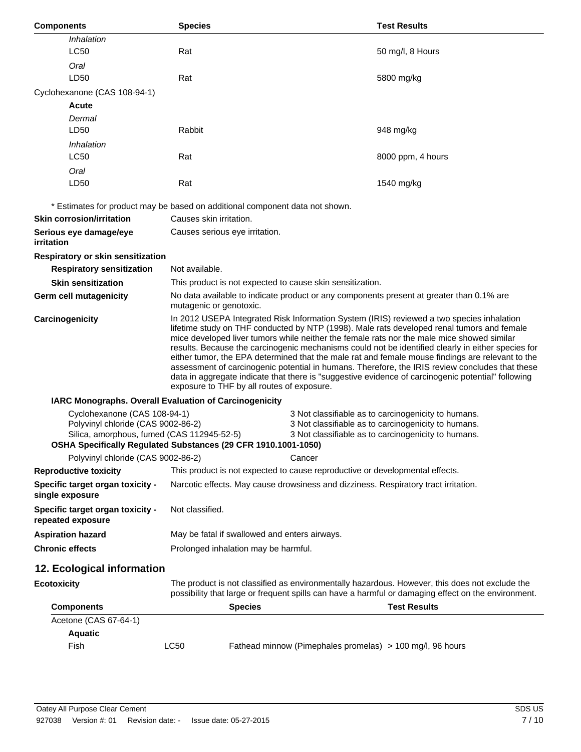| <b>Components</b>                                                                                                | <b>Species</b>                                                                                                                                                                                                                                                                                                                                                                                                                                                                                                                                                                                                                                                                                                                                         |        | <b>Test Results</b>                                                                                                                                               |
|------------------------------------------------------------------------------------------------------------------|--------------------------------------------------------------------------------------------------------------------------------------------------------------------------------------------------------------------------------------------------------------------------------------------------------------------------------------------------------------------------------------------------------------------------------------------------------------------------------------------------------------------------------------------------------------------------------------------------------------------------------------------------------------------------------------------------------------------------------------------------------|--------|-------------------------------------------------------------------------------------------------------------------------------------------------------------------|
| Inhalation                                                                                                       |                                                                                                                                                                                                                                                                                                                                                                                                                                                                                                                                                                                                                                                                                                                                                        |        |                                                                                                                                                                   |
| <b>LC50</b>                                                                                                      | Rat                                                                                                                                                                                                                                                                                                                                                                                                                                                                                                                                                                                                                                                                                                                                                    |        | 50 mg/l, 8 Hours                                                                                                                                                  |
| Oral                                                                                                             |                                                                                                                                                                                                                                                                                                                                                                                                                                                                                                                                                                                                                                                                                                                                                        |        |                                                                                                                                                                   |
| LD50                                                                                                             | Rat                                                                                                                                                                                                                                                                                                                                                                                                                                                                                                                                                                                                                                                                                                                                                    |        | 5800 mg/kg                                                                                                                                                        |
| Cyclohexanone (CAS 108-94-1)                                                                                     |                                                                                                                                                                                                                                                                                                                                                                                                                                                                                                                                                                                                                                                                                                                                                        |        |                                                                                                                                                                   |
| <b>Acute</b>                                                                                                     |                                                                                                                                                                                                                                                                                                                                                                                                                                                                                                                                                                                                                                                                                                                                                        |        |                                                                                                                                                                   |
| Dermal                                                                                                           |                                                                                                                                                                                                                                                                                                                                                                                                                                                                                                                                                                                                                                                                                                                                                        |        |                                                                                                                                                                   |
| LD50                                                                                                             | Rabbit                                                                                                                                                                                                                                                                                                                                                                                                                                                                                                                                                                                                                                                                                                                                                 |        | 948 mg/kg                                                                                                                                                         |
| Inhalation                                                                                                       |                                                                                                                                                                                                                                                                                                                                                                                                                                                                                                                                                                                                                                                                                                                                                        |        |                                                                                                                                                                   |
| <b>LC50</b>                                                                                                      | Rat                                                                                                                                                                                                                                                                                                                                                                                                                                                                                                                                                                                                                                                                                                                                                    |        | 8000 ppm, 4 hours                                                                                                                                                 |
| Oral                                                                                                             |                                                                                                                                                                                                                                                                                                                                                                                                                                                                                                                                                                                                                                                                                                                                                        |        |                                                                                                                                                                   |
| LD50                                                                                                             | Rat                                                                                                                                                                                                                                                                                                                                                                                                                                                                                                                                                                                                                                                                                                                                                    |        | 1540 mg/kg                                                                                                                                                        |
|                                                                                                                  | * Estimates for product may be based on additional component data not shown.                                                                                                                                                                                                                                                                                                                                                                                                                                                                                                                                                                                                                                                                           |        |                                                                                                                                                                   |
| <b>Skin corrosion/irritation</b>                                                                                 | Causes skin irritation.                                                                                                                                                                                                                                                                                                                                                                                                                                                                                                                                                                                                                                                                                                                                |        |                                                                                                                                                                   |
| Serious eye damage/eye<br>irritation                                                                             | Causes serious eye irritation.                                                                                                                                                                                                                                                                                                                                                                                                                                                                                                                                                                                                                                                                                                                         |        |                                                                                                                                                                   |
| Respiratory or skin sensitization                                                                                |                                                                                                                                                                                                                                                                                                                                                                                                                                                                                                                                                                                                                                                                                                                                                        |        |                                                                                                                                                                   |
| <b>Respiratory sensitization</b>                                                                                 | Not available.                                                                                                                                                                                                                                                                                                                                                                                                                                                                                                                                                                                                                                                                                                                                         |        |                                                                                                                                                                   |
| <b>Skin sensitization</b>                                                                                        | This product is not expected to cause skin sensitization.                                                                                                                                                                                                                                                                                                                                                                                                                                                                                                                                                                                                                                                                                              |        |                                                                                                                                                                   |
| Germ cell mutagenicity                                                                                           | No data available to indicate product or any components present at greater than 0.1% are<br>mutagenic or genotoxic.                                                                                                                                                                                                                                                                                                                                                                                                                                                                                                                                                                                                                                    |        |                                                                                                                                                                   |
| Carcinogenicity                                                                                                  | In 2012 USEPA Integrated Risk Information System (IRIS) reviewed a two species inhalation<br>lifetime study on THF conducted by NTP (1998). Male rats developed renal tumors and female<br>mice developed liver tumors while neither the female rats nor the male mice showed similar<br>results. Because the carcinogenic mechanisms could not be identified clearly in either species for<br>either tumor, the EPA determined that the male rat and female mouse findings are relevant to the<br>assessment of carcinogenic potential in humans. Therefore, the IRIS review concludes that these<br>data in aggregate indicate that there is "suggestive evidence of carcinogenic potential" following<br>exposure to THF by all routes of exposure. |        |                                                                                                                                                                   |
|                                                                                                                  | IARC Monographs. Overall Evaluation of Carcinogenicity                                                                                                                                                                                                                                                                                                                                                                                                                                                                                                                                                                                                                                                                                                 |        |                                                                                                                                                                   |
| Cyclohexanone (CAS 108-94-1)<br>Polyvinyl chloride (CAS 9002-86-2)<br>Silica, amorphous, fumed (CAS 112945-52-5) | OSHA Specifically Regulated Substances (29 CFR 1910.1001-1050)                                                                                                                                                                                                                                                                                                                                                                                                                                                                                                                                                                                                                                                                                         |        | 3 Not classifiable as to carcinogenicity to humans.<br>3 Not classifiable as to carcinogenicity to humans.<br>3 Not classifiable as to carcinogenicity to humans. |
| Polyvinyl chloride (CAS 9002-86-2)                                                                               |                                                                                                                                                                                                                                                                                                                                                                                                                                                                                                                                                                                                                                                                                                                                                        | Cancer |                                                                                                                                                                   |
| <b>Reproductive toxicity</b>                                                                                     | This product is not expected to cause reproductive or developmental effects.                                                                                                                                                                                                                                                                                                                                                                                                                                                                                                                                                                                                                                                                           |        |                                                                                                                                                                   |
| Specific target organ toxicity -<br>single exposure                                                              | Narcotic effects. May cause drowsiness and dizziness. Respiratory tract irritation.                                                                                                                                                                                                                                                                                                                                                                                                                                                                                                                                                                                                                                                                    |        |                                                                                                                                                                   |
| Specific target organ toxicity -<br>repeated exposure                                                            | Not classified.                                                                                                                                                                                                                                                                                                                                                                                                                                                                                                                                                                                                                                                                                                                                        |        |                                                                                                                                                                   |
| <b>Aspiration hazard</b>                                                                                         | May be fatal if swallowed and enters airways.                                                                                                                                                                                                                                                                                                                                                                                                                                                                                                                                                                                                                                                                                                          |        |                                                                                                                                                                   |
| <b>Chronic effects</b>                                                                                           | Prolonged inhalation may be harmful.                                                                                                                                                                                                                                                                                                                                                                                                                                                                                                                                                                                                                                                                                                                   |        |                                                                                                                                                                   |
| 12. Ecological information                                                                                       |                                                                                                                                                                                                                                                                                                                                                                                                                                                                                                                                                                                                                                                                                                                                                        |        |                                                                                                                                                                   |
| <b>Ecotoxicity</b>                                                                                               | The product is not classified as environmentally hazardous. However, this does not exclude the<br>possibility that large or frequent spills can have a harmful or damaging effect on the environment.                                                                                                                                                                                                                                                                                                                                                                                                                                                                                                                                                  |        |                                                                                                                                                                   |
| <b>Components</b>                                                                                                | <b>Species</b>                                                                                                                                                                                                                                                                                                                                                                                                                                                                                                                                                                                                                                                                                                                                         |        | <b>Test Results</b>                                                                                                                                               |
| Acetone (CAS 67-64-1)                                                                                            |                                                                                                                                                                                                                                                                                                                                                                                                                                                                                                                                                                                                                                                                                                                                                        |        |                                                                                                                                                                   |
| <b>Aquatic</b>                                                                                                   |                                                                                                                                                                                                                                                                                                                                                                                                                                                                                                                                                                                                                                                                                                                                                        |        |                                                                                                                                                                   |
| Fish                                                                                                             | <b>LC50</b>                                                                                                                                                                                                                                                                                                                                                                                                                                                                                                                                                                                                                                                                                                                                            |        | Fathead minnow (Pimephales promelas) > 100 mg/l, 96 hours                                                                                                         |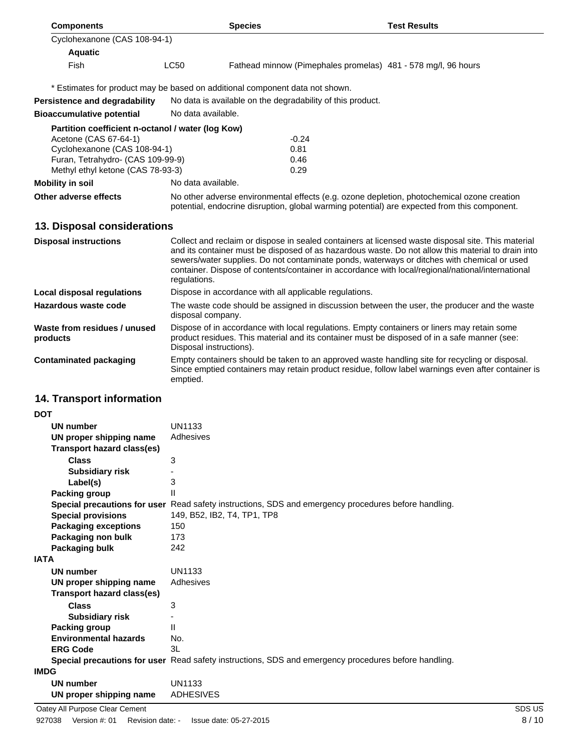| <b>Components</b>                                                            |                                                                                                                                                                                                                        | <b>Species</b>                                                                                                                                                                                                                                                                                                                                                                                                               | <b>Test Results</b>                                           |  |  |
|------------------------------------------------------------------------------|------------------------------------------------------------------------------------------------------------------------------------------------------------------------------------------------------------------------|------------------------------------------------------------------------------------------------------------------------------------------------------------------------------------------------------------------------------------------------------------------------------------------------------------------------------------------------------------------------------------------------------------------------------|---------------------------------------------------------------|--|--|
| Cyclohexanone (CAS 108-94-1)                                                 |                                                                                                                                                                                                                        |                                                                                                                                                                                                                                                                                                                                                                                                                              |                                                               |  |  |
| <b>Aquatic</b>                                                               |                                                                                                                                                                                                                        |                                                                                                                                                                                                                                                                                                                                                                                                                              |                                                               |  |  |
| Fish                                                                         | LC50                                                                                                                                                                                                                   |                                                                                                                                                                                                                                                                                                                                                                                                                              | Fathead minnow (Pimephales promelas) 481 - 578 mg/l, 96 hours |  |  |
| * Estimates for product may be based on additional component data not shown. |                                                                                                                                                                                                                        |                                                                                                                                                                                                                                                                                                                                                                                                                              |                                                               |  |  |
| <b>Persistence and degradability</b>                                         |                                                                                                                                                                                                                        | No data is available on the degradability of this product.                                                                                                                                                                                                                                                                                                                                                                   |                                                               |  |  |
| <b>Bioaccumulative potential</b>                                             | No data available.                                                                                                                                                                                                     |                                                                                                                                                                                                                                                                                                                                                                                                                              |                                                               |  |  |
| Partition coefficient n-octanol / water (log Kow)                            |                                                                                                                                                                                                                        | $-0.24$                                                                                                                                                                                                                                                                                                                                                                                                                      |                                                               |  |  |
| Acetone (CAS 67-64-1)<br>Cyclohexanone (CAS 108-94-1)                        |                                                                                                                                                                                                                        | 0.81                                                                                                                                                                                                                                                                                                                                                                                                                         |                                                               |  |  |
| Furan, Tetrahydro- (CAS 109-99-9)                                            |                                                                                                                                                                                                                        | 0.46                                                                                                                                                                                                                                                                                                                                                                                                                         |                                                               |  |  |
| Methyl ethyl ketone (CAS 78-93-3)                                            |                                                                                                                                                                                                                        | 0.29                                                                                                                                                                                                                                                                                                                                                                                                                         |                                                               |  |  |
| <b>Mobility in soil</b>                                                      | No data available.                                                                                                                                                                                                     |                                                                                                                                                                                                                                                                                                                                                                                                                              |                                                               |  |  |
| Other adverse effects                                                        |                                                                                                                                                                                                                        | No other adverse environmental effects (e.g. ozone depletion, photochemical ozone creation<br>potential, endocrine disruption, global warming potential) are expected from this component.                                                                                                                                                                                                                                   |                                                               |  |  |
| 13. Disposal considerations                                                  |                                                                                                                                                                                                                        |                                                                                                                                                                                                                                                                                                                                                                                                                              |                                                               |  |  |
| <b>Disposal instructions</b>                                                 |                                                                                                                                                                                                                        | Collect and reclaim or dispose in sealed containers at licensed waste disposal site. This material<br>and its container must be disposed of as hazardous waste. Do not allow this material to drain into<br>sewers/water supplies. Do not contaminate ponds, waterways or ditches with chemical or used<br>container. Dispose of contents/container in accordance with local/regional/national/international<br>regulations. |                                                               |  |  |
| <b>Local disposal regulations</b>                                            |                                                                                                                                                                                                                        | Dispose in accordance with all applicable regulations.                                                                                                                                                                                                                                                                                                                                                                       |                                                               |  |  |
| Hazardous waste code                                                         |                                                                                                                                                                                                                        | The waste code should be assigned in discussion between the user, the producer and the waste<br>disposal company.                                                                                                                                                                                                                                                                                                            |                                                               |  |  |
| Waste from residues / unused<br>products                                     | Dispose of in accordance with local regulations. Empty containers or liners may retain some<br>product residues. This material and its container must be disposed of in a safe manner (see:<br>Disposal instructions). |                                                                                                                                                                                                                                                                                                                                                                                                                              |                                                               |  |  |
| <b>Contaminated packaging</b>                                                | Empty containers should be taken to an approved waste handling site for recycling or disposal.<br>Since emptied containers may retain product residue, follow label warnings even after container is<br>emptied.       |                                                                                                                                                                                                                                                                                                                                                                                                                              |                                                               |  |  |
| 14. Transport information                                                    |                                                                                                                                                                                                                        |                                                                                                                                                                                                                                                                                                                                                                                                                              |                                                               |  |  |
| <b>DOT</b>                                                                   |                                                                                                                                                                                                                        |                                                                                                                                                                                                                                                                                                                                                                                                                              |                                                               |  |  |
| <b>UN number</b>                                                             | UN1133                                                                                                                                                                                                                 |                                                                                                                                                                                                                                                                                                                                                                                                                              |                                                               |  |  |
| UN proper shipping name                                                      | Adhesives                                                                                                                                                                                                              |                                                                                                                                                                                                                                                                                                                                                                                                                              |                                                               |  |  |
| <b>Transport hazard class(es)</b>                                            |                                                                                                                                                                                                                        |                                                                                                                                                                                                                                                                                                                                                                                                                              |                                                               |  |  |
| <b>Class</b>                                                                 | 3                                                                                                                                                                                                                      |                                                                                                                                                                                                                                                                                                                                                                                                                              |                                                               |  |  |
| <b>Subsidiary risk</b>                                                       |                                                                                                                                                                                                                        |                                                                                                                                                                                                                                                                                                                                                                                                                              |                                                               |  |  |
| Label(s)                                                                     |                                                                                                                                                                                                                        | 3                                                                                                                                                                                                                                                                                                                                                                                                                            |                                                               |  |  |
| <b>Packing group</b>                                                         | Ш                                                                                                                                                                                                                      |                                                                                                                                                                                                                                                                                                                                                                                                                              |                                                               |  |  |
| <b>Special provisions</b>                                                    |                                                                                                                                                                                                                        | Special precautions for user Read safety instructions, SDS and emergency procedures before handling.<br>149, B52, IB2, T4, TP1, TP8                                                                                                                                                                                                                                                                                          |                                                               |  |  |
| <b>Packaging exceptions</b>                                                  | 150                                                                                                                                                                                                                    |                                                                                                                                                                                                                                                                                                                                                                                                                              |                                                               |  |  |
| Packaging non bulk                                                           | 173                                                                                                                                                                                                                    |                                                                                                                                                                                                                                                                                                                                                                                                                              |                                                               |  |  |
| <b>Packaging bulk</b>                                                        | 242                                                                                                                                                                                                                    |                                                                                                                                                                                                                                                                                                                                                                                                                              |                                                               |  |  |
| <b>IATA</b>                                                                  |                                                                                                                                                                                                                        |                                                                                                                                                                                                                                                                                                                                                                                                                              |                                                               |  |  |

| <b>Packaging buik</b>        | 24 Z                                                                                                 |
|------------------------------|------------------------------------------------------------------------------------------------------|
| <b>IATA</b>                  |                                                                                                      |
| UN number                    | UN1133                                                                                               |
| UN proper shipping name      | Adhesives                                                                                            |
| Transport hazard class(es)   |                                                                                                      |
| <b>Class</b>                 | 3                                                                                                    |
| <b>Subsidiary risk</b>       |                                                                                                      |
| Packing group                | Ш                                                                                                    |
| <b>Environmental hazards</b> | No.                                                                                                  |
| <b>ERG Code</b>              | 3L                                                                                                   |
|                              | Special precautions for user Read safety instructions, SDS and emergency procedures before handling. |
| <b>IMDG</b>                  |                                                                                                      |
| l IN numher                  | HN1133                                                                                               |

## **UN number** UN1133<br> **UN proper shipping name** ADHESIVES **UN proper shipping name** Oatey All Purpose Clear Cement SDS US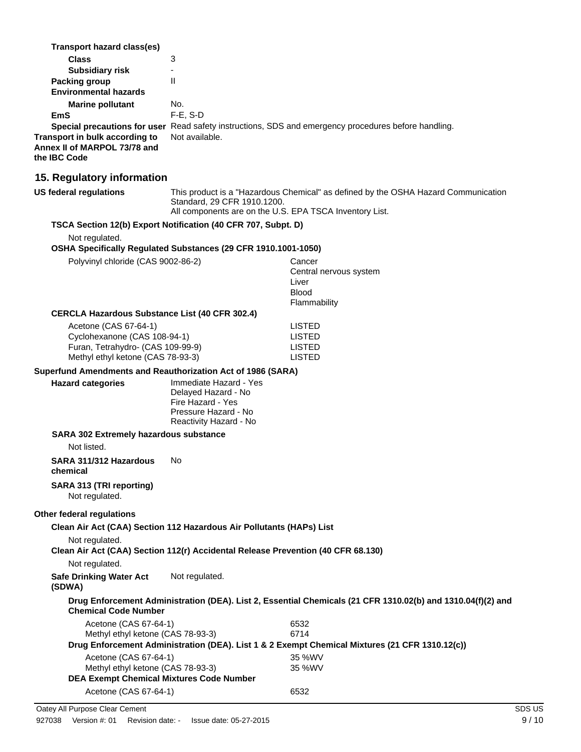| Transport hazard class(es)<br><b>Class</b><br><b>Subsidiary risk</b><br><b>Packing group</b><br><b>Environmental hazards</b><br><b>Marine pollutant</b><br>EmS<br>Transport in bulk according to<br>Annex II of MARPOL 73/78 and<br>the IBC Code | 3<br>L.<br>$\mathbf{H}$<br>No.<br>F-E, S-D<br>Not available.                                                                    | Special precautions for user Read safety instructions, SDS and emergency procedures before handling.           |
|--------------------------------------------------------------------------------------------------------------------------------------------------------------------------------------------------------------------------------------------------|---------------------------------------------------------------------------------------------------------------------------------|----------------------------------------------------------------------------------------------------------------|
| 15. Regulatory information                                                                                                                                                                                                                       |                                                                                                                                 |                                                                                                                |
| <b>US federal regulations</b>                                                                                                                                                                                                                    | Standard, 29 CFR 1910.1200.<br>All components are on the U.S. EPA TSCA Inventory List.                                          | This product is a "Hazardous Chemical" as defined by the OSHA Hazard Communication                             |
| Not regulated.<br>Polyvinyl chloride (CAS 9002-86-2)                                                                                                                                                                                             | TSCA Section 12(b) Export Notification (40 CFR 707, Subpt. D)<br>OSHA Specifically Regulated Substances (29 CFR 1910.1001-1050) | Cancer<br>Central nervous system<br>Liver                                                                      |
| <b>CERCLA Hazardous Substance List (40 CFR 302.4)</b>                                                                                                                                                                                            |                                                                                                                                 | <b>Blood</b><br>Flammability                                                                                   |
| Acetone (CAS 67-64-1)<br>Cyclohexanone (CAS 108-94-1)<br>Furan, Tetrahydro- (CAS 109-99-9)<br>Methyl ethyl ketone (CAS 78-93-3)                                                                                                                  |                                                                                                                                 | <b>LISTED</b><br><b>LISTED</b><br><b>LISTED</b><br><b>LISTED</b>                                               |
| Superfund Amendments and Reauthorization Act of 1986 (SARA)                                                                                                                                                                                      |                                                                                                                                 |                                                                                                                |
| <b>Hazard categories</b>                                                                                                                                                                                                                         | Immediate Hazard - Yes<br>Delayed Hazard - No<br>Fire Hazard - Yes<br>Pressure Hazard - No<br>Reactivity Hazard - No            |                                                                                                                |
|                                                                                                                                                                                                                                                  |                                                                                                                                 |                                                                                                                |
| SARA 302 Extremely hazardous substance                                                                                                                                                                                                           |                                                                                                                                 |                                                                                                                |
| Not listed.                                                                                                                                                                                                                                      |                                                                                                                                 |                                                                                                                |
| SARA 311/312 Hazardous<br>chemical                                                                                                                                                                                                               | No                                                                                                                              |                                                                                                                |
| SARA 313 (TRI reporting)<br>Not regulated.                                                                                                                                                                                                       |                                                                                                                                 |                                                                                                                |
| Other federal regulations                                                                                                                                                                                                                        |                                                                                                                                 |                                                                                                                |
|                                                                                                                                                                                                                                                  | Clean Air Act (CAA) Section 112 Hazardous Air Pollutants (HAPs) List                                                            |                                                                                                                |
| Not regulated.                                                                                                                                                                                                                                   | Clean Air Act (CAA) Section 112(r) Accidental Release Prevention (40 CFR 68.130)                                                |                                                                                                                |
| Not regulated.<br><b>Safe Drinking Water Act</b><br>(SDWA)                                                                                                                                                                                       | Not regulated.                                                                                                                  |                                                                                                                |
| <b>Chemical Code Number</b>                                                                                                                                                                                                                      |                                                                                                                                 | Drug Enforcement Administration (DEA). List 2, Essential Chemicals (21 CFR 1310.02(b) and 1310.04(f)(2) and    |
| Acetone (CAS 67-64-1)<br>Methyl ethyl ketone (CAS 78-93-3)                                                                                                                                                                                       |                                                                                                                                 | 6532<br>6714<br>Drug Enforcement Administration (DEA). List 1 & 2 Exempt Chemical Mixtures (21 CFR 1310.12(c)) |
| Acetone (CAS 67-64-1)                                                                                                                                                                                                                            |                                                                                                                                 | 35 %WV                                                                                                         |
| Methyl ethyl ketone (CAS 78-93-3)<br><b>DEA Exempt Chemical Mixtures Code Number</b>                                                                                                                                                             |                                                                                                                                 | 35 %WV                                                                                                         |